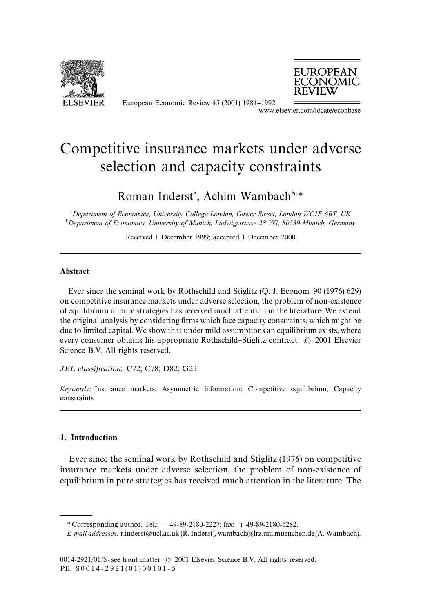

European Economic Review 45 (2001) 1981-1992 www.elsevier.com/locate/econbase



## Competitive insurance markets under adverse selection and capacity constraints

Roman Inderst<sup>a</sup>, Achim Wambach<sup>b,\*</sup>

*Department of Economics, University College London, Gower Street, London WC1E 6BT, UK* -*Department of Economics, University of Munich, Ludwigstrasse 28 VG, 80539 Munich, Germany*

Received 1 December 1999; accepted 1 December 2000

## Abstract

Ever since the seminal work by Rothschild and Stiglitz (Q. J. Econom. 90 (1976) 629) on competitive insurance markets under adverse selection, the problem of non-existence of equilibrium in pure strategies has received much attention in the literature. We extend the original analysis by considering firms which face capacity constraints, which might be due to limited capital. We show that under mild assumptions an equilibrium exists, where every consumer obtains his appropriate Rothschild-Stiglitz contract.  $\odot$  2001 Elsevier Science B.V. All rights reserved.

*JEL classification*: C72; C78; D82; G22

*Keywords:* Insurance markets; Asymmetric information; Competitive equilibrium; Capacity constraints

## 1. Introduction

Ever since the seminal work by Rothschild and Stiglitz (1976) on competitive insurance markets under adverse selection, the problem of non-existence of equilibrium in pure strategies has received much attention in the literature. The

*<sup>\*</sup>* Corresponding author. Tel.: #49-89-2180-2227; fax: #49-89-2180-6282.

*E-mail addresses:* r.inderst@ucl.ac.uk(R. Inderst), wambach@lrz.uni.muenchen.de (A. Wambach).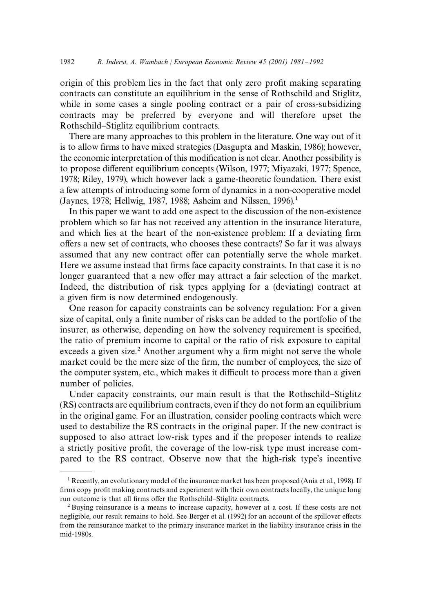origin of this problem lies in the fact that only zero profit making separating contracts can constitute an equilibrium in the sense of Rothschild and Stiglitz, while in some cases a single pooling contract or a pair of cross-subsidizing contracts may be preferred by everyone and will therefore upset the Rothschild-Stiglitz equilibrium contracts.

There are many approaches to this problem in the literature. One way out of it is to allow firms to have mixed strategies (Dasgupta and Maskin, 1986); however, the economic interpretation of this modification is not clear. Another possibility is to propose different equilibrium concepts (Wilson, 1977; Miyazaki, 1977; Spence, 1978; Riley, 1979), which however lacka game-theoretic foundation. There exist a few attempts of introducing some form of dynamics in a non-cooperative model (Jaynes, 1978; Hellwig, 1987, 1988; Asheim and Nilssen, 1996).<sup>1</sup>

In this paper we want to add one aspect to the discussion of the non-existence problem which so far has not received any attention in the insurance literature, and which lies at the heart of the non-existence problem: If a deviating firm o!ers a new set of contracts, who chooses these contracts? So far it was always assumed that any new contract offer can potentially serve the whole market. Here we assume instead that firms face capacity constraints. In that case it is no longer guaranteed that a new offer may attract a fair selection of the market. Indeed, the distribution of risk types applying for a (deviating) contract at a given firm is now determined endogenously.

One reason for capacity constraints can be solvency regulation: For a given size of capital, only a finite number of risks can be added to the portfolio of the insurer, as otherwise, depending on how the solvency requirement is specified, the ratio of premium income to capital or the ratio of riskexposure to capital exceeds a given size.<sup>2</sup> Another argument why a firm might not serve the whole market could be the mere size of the firm, the number of employees, the size of the computer system, etc., which makes it difficult to process more than a given number of policies.

Under capacity constraints, our main result is that the Rothschild–Stiglitz (RS) contracts are equilibrium contracts, even if they do not form an equilibrium in the original game. For an illustration, consider pooling contracts which were used to destabilize the RS contracts in the original paper. If the new contract is supposed to also attract low-risk types and if the proposer intends to realize a strictly positive profit, the coverage of the low-risk type must increase compared to the RS contract. Observe now that the high-risk type's incentive

<sup>&</sup>lt;sup>1</sup> Recently, an evolutionary model of the insurance market has been proposed (Ania et al., 1998). If firms copy profit making contracts and experiment with their own contracts locally, the unique long run outcome is that all firms offer the Rothschild-Stiglitz contracts.

<sup>&</sup>lt;sup>2</sup> Buying reinsurance is a means to increase capacity, however at a cost. If these costs are not negligible, our result remains to hold. See Berger et al. (1992) for an account of the spillover effects from the reinsurance market to the primary insurance market in the liability insurance crisis in the mid-1980s.